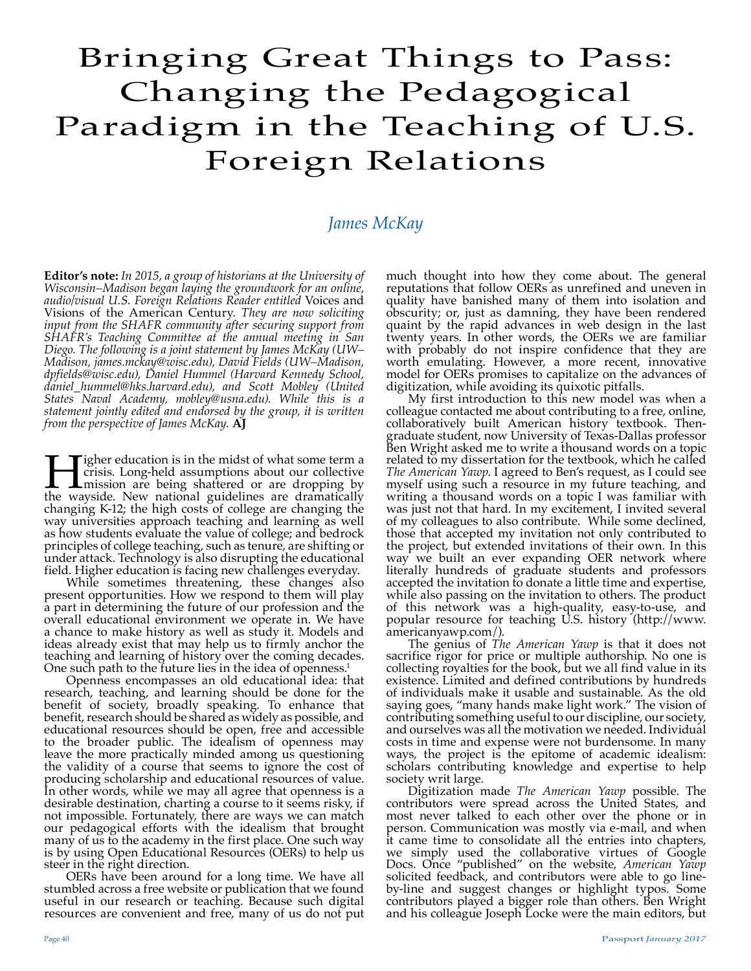## Bringing Great Things to Pass: Changing the Pedagogical Paradigm in the Teaching of U.S. Foreign Relations

## *James McKay*

**Editor's note:** *In 2015, a group of historians at the University of Wisconsin–Madison began laying the groundwork for an online, audio/visual U.S. Foreign Relations Reader entitled* Voices and Visions of the American Century*. They are now soliciting input from the SHAFR community after securing support from SHAFR's Teaching Committee at the annual meeting in San Diego. The following is a joint statement by James McKay (UW– Madison, james.mckay@wisc.edu), David Fields (UW–Madison, dpfields@wisc.edu), Daniel Hummel (Harvard Kennedy School, daniel\_hummel@hks.harvard.edu), and Scott Mobley (United States Naval Academy, mobley@usna.edu). While this is a statement jointly edited and endorsed by the group, it is written from the perspective of James McKay.* **AJ**

**Hender's** is in the midst of what some term a crisis. Long-held assumptions about our collective mission are being shattered or are dropping by the wayside. New national guidelines are dramatically crisis. Long-held assumptions about our collective mission are being shattered or are dropping by the wayside. New national guidelines are dramatically changing K-12; the high costs of college are changing the way universities approach teaching and learning as well as how students evaluate the value of college; and bedrock principles of college teaching, such as tenure, are shifting or under attack. Technology is also disrupting the educational field. Higher education is facing new challenges everyday.

While sometimes threatening, these changes also present opportunities. How we respond to them will play a part in determining the future of our profession and the overall educational environment we operate in. We have a chance to make history as well as study it. Models and ideas already exist that may help us to firmly anchor the teaching and learning of history over the coming decades.

One such path to the future lies in the idea of openness.<sup>1</sup> Openness encompasses an old educational idea: that One such path to the future lies in the idea of openness.<sup>1</sup><br>Openness encompasses an old educational idea: that<br>research, teaching, and learning should be done for the benefit of society, broadly speaking. To enhance that benefit, research should be shared as widely as possible, and educational resources should be open, free and accessible to the broader public. The idealism of openness may leave the more practically minded among us questioning the validity of a course that seems to ignore the cost of producing scholarship and educational resources of value. In other words, while we may all agree that openness is a desirable destination, charting a course to it seems risky, if not impossible. Fortunately, there are ways we can match our pedagogical efforts with the idealism that brought many of us to the academy in the first place. One such way is by using Open Educational Resources (OERs) to help us steer in the right direction.

OERs have been around for a long time. We have all stumbled across a free website or publication that we found useful in our research or teaching. Because such digital resources are convenient and free, many of us do not put

much thought into how they come about. The general reputations that follow OERs as unrefined and uneven in quality have banished many of them into isolation and obscurity; or, just as damning, they have been rendered quaint by the rapid advances in web design in the last twenty years. In other words, the OERs we are familiar with probably do not inspire confidence that they are worth emulating. However, a more recent, innovative model for OERs promises to capitalize on the advances of digitization, while avoiding its quixotic pitfalls.

My first introduction to this new model was when a colleague contacted me about contributing to a free, online, collaboratively built American history textbook. Thengraduate student, now University of Texas-Dallas professor Ben Wright asked me to write a thousand words on a topic related to my dissertation for the textbook, which he called *The American Yawp*. I agreed to Ben's request, as I could see myself using such a resource in my future teaching, and writing a thousand words on a topic I was familiar with was just not that hard. In my excitement, I invited several of my colleagues to also contribute. While some declined, those that accepted my invitation not only contributed to the project, but extended invitations of their own. In this way we built an ever expanding OER network where literally hundreds of graduate students and professors accepted the invitation to donate a little time and expertise, while also passing on the invitation to others. The product of this network was a high-quality, easy-to-use, and popular resource for teaching U.S. history (http://www. americanyawp.com/).

The genius of *The American Yawp* is that it does not sacrifice rigor for price or multiple authorship. No one is collecting royalties for the book, but we all find value in its existence. Limited and defined contributions by hundreds of individuals make it usable and sustainable. As the old saying goes, "many hands make light work." The vision of contributing something useful to our discipline, our society, and ourselves was all the motivation we needed. Individual costs in time and expense were not burdensome. In many ways, the project is the epitome of academic idealism: scholars contributing knowledge and expertise to help society writ large.

Digitization made *The American Yawp* possible. The contributors were spread across the United States, and most never talked to each other over the phone or in person. Communication was mostly via e-mail, and when it came time to consolidate all the entries into chapters, we simply used the collaborative virtues of Google Docs. Once "published" on the website, *American Yawp* solicited feedback, and contributors were able to go lineby-line and suggest changes or highlight typos. Some contributors played a bigger role than others. Ben Wright and his colleague Joseph Locke were the main editors, but